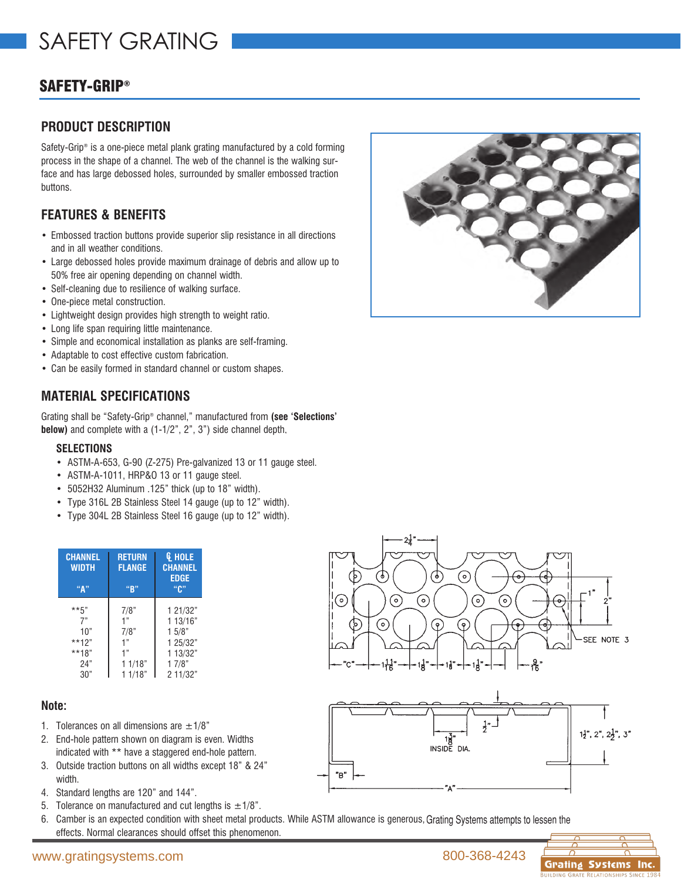## SAFETY-GRIP®

### **PRODUCT DESCRIPTION**

Safety-Grip® is a one-piece metal plank grating manufactured by a cold forming process in the shape of a channel. The web of the channel is the walking surface and has large debossed holes, surrounded by smaller embossed traction buttons.

## **FEATURES & BENEFITS**

- Embossed traction buttons provide superior slip resistance in all directions and in all weather conditions.
- Large debossed holes provide maximum drainage of debris and allow up to 50% free air opening depending on channel width.
- Self-cleaning due to resilience of walking surface.
- One-piece metal construction.
- Lightweight design provides high strength to weight ratio.
- Long life span requiring little maintenance.
- Simple and economical installation as planks are self-framing.
- Adaptable to cost effective custom fabrication.
- Can be easily formed in standard channel or custom shapes.

## **MATERIAL SPECIFICATIONS**

Grating shall be "Safety-Grip® channel," manufactured from **(see 'Selections' below)** and complete with a (1-1/2", 2", 3") side channel depth,

#### • **SELECTIONS**

- ASTM-A-653, G-90 (Z-275) Pre-galvanized 13 or 11 gauge steel.
- ASTM-A-1011, HRP&O 13 or 11 gauge steel.
- 5052H32 Aluminum .125" thick (up to 18" width).
- Type 316L 2B Stainless Steel 14 gauge (up to 12" width).
- Type 304L 2B Stainless Steel 16 gauge (up to 12" width).

| <b>CHANNEL</b><br><b>WIDTH</b><br>"А" | <b>RETURN</b><br><b>FLANGE</b><br>"R" | <b>Q</b> HOLE<br><b>CHANNEL</b><br><b>EDGE</b><br>"C" |
|---------------------------------------|---------------------------------------|-------------------------------------------------------|
| $***$ 5"                              | 7/8"                                  | 1 21/32"                                              |
| 7"                                    | 1"                                    | 1 13/16"                                              |
| 10"                                   | 7/8"                                  | 15/8"                                                 |
| $***12"$                              | 1"                                    | 1 25/32"                                              |
| **18"                                 | 1"                                    | 1 13/32"                                              |
| 24"                                   | 11/18"                                | 17/8"                                                 |
| 30"                                   | 11/18"                                | 2 11/32"                                              |

#### **Note:**

- 1. Tolerances on all dimensions are  $\pm$ 1/8"
- 2. End-hole pattern shown on diagram is even. Widths indicated with \*\* have a staggered end-hole pattern.
- 3. Outside traction buttons on all widths except 18" & 24" width.
- 4. Standard lengths are 120" and 144".
- 5. Tolerance on manufactured and cut lengths is  $\pm 1/8$ ".
- 6. Camber is an expected condition with sheet metal products. While ASTM allowance is generous, Grating Systems attempts to lessen the effects. Normal clearances should offset this phenomenon.







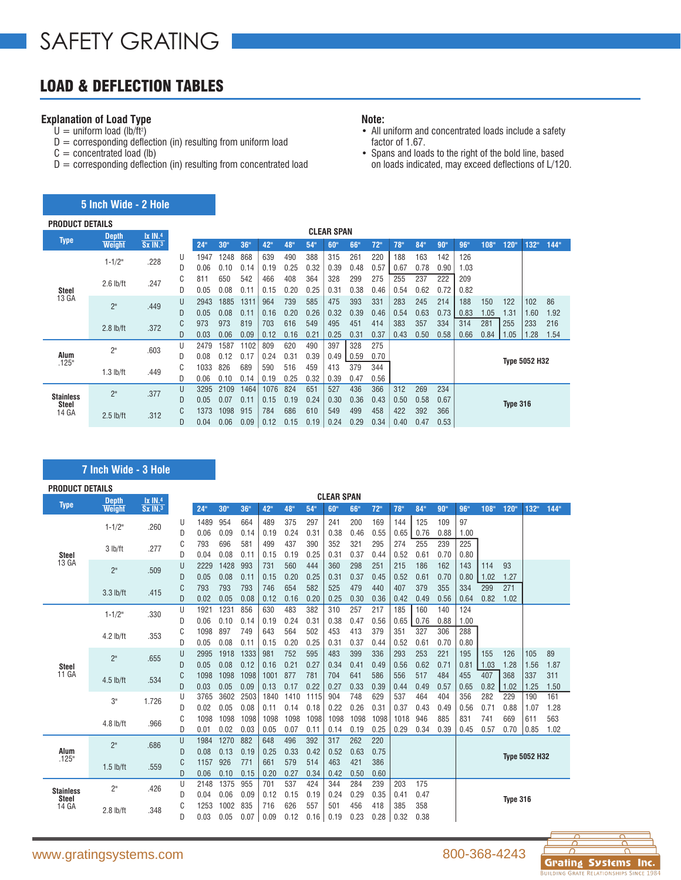# LOAD & DEFLECTION TABLES

#### **Explanation of Load Type**

- $U =$  uniform load (lb/ft<sup>2</sup>)
- $D =$  corresponding deflection (in) resulting from uniform load
- $C =$  concentrated load (lb)

**5 Inch Wide - 2 Hole**

 $D =$  corresponding deflection (in) resulting from concentrated load

#### **Note:**

- All uniform and concentrated loads include a safety factor of 1.67.
- Spans and loads to the right of the bold line, based on loads indicated, may exceed deflections of L/120.

| <b>PRODUCT DETAILS</b>           |                |                |   |                 |                 |      |      |      |      |                   |      |      |      |      |      |      |      |                 |                      |      |
|----------------------------------|----------------|----------------|---|-----------------|-----------------|------|------|------|------|-------------------|------|------|------|------|------|------|------|-----------------|----------------------|------|
|                                  | <b>Depth</b>   | <b>Ix IN.4</b> |   |                 |                 |      |      |      |      | <b>CLEAR SPAN</b> |      |      |      |      |      |      |      |                 |                      |      |
| <b>Type</b>                      | <b>Weight</b>  | $Sx$ IN. $3$   |   | 24"             | 30 <sup>o</sup> | 36"  | 42"  | 48"  | 54"  | 60"               | 66"  | 72"  | 78"  | 84"  | 90"  | 96"  | 108" | 120"            | 132"                 | 144" |
|                                  |                |                | U | 1947            | 1248            | 868  | 639  | 490  | 388  | 315               | 261  | 220  | 188  | 163  | 142  | 126  |      |                 |                      |      |
|                                  | $1 - 1/2$ "    | .228           | D | 0.06            | 0.10            | 0.14 | 0.19 | 0.25 | 0.32 | 0.39              | 0.48 | 0.57 | 0.67 | 0.78 | 0.90 | 1.03 |      |                 |                      |      |
|                                  |                | .247           | C | 81 <sup>1</sup> | 650             | 542  | 466  | 408  | 364  | 328               | 299  | 275  | 255  | 237  | 222  | 209  |      |                 |                      |      |
| <b>Steel</b>                     | $2.6$ lb/ft    |                | D | 0.05            | 0.08            | 0.11 | 0.15 | 0.20 | 0.25 | 0.31              | 0.38 | 0.46 | 0.54 | 0.62 | 0.72 | 0.82 |      |                 |                      |      |
| 13 GA                            |                |                | U | 2943            | 1885            | 1311 | 964  | 739  | 585  | 475               | 393  | 331  | 283  | 245  | 214  | 188  | 150  | 122             | 102                  | 86   |
|                                  | 2 <sup>n</sup> | .449           | D | 0.05            | 0.08            | 0.11 | 0.16 | 0.20 | 0.26 | 0.32              | 0.39 | 0.46 | 0.54 | 0.63 | 0.73 | 0.83 | 1.05 | 1.31            | 1.60                 | 1.92 |
|                                  |                |                | C | 973             | 973             | 819  | 703  | 616  | 549  | 495               | 451  | 414  | 383  | 357  | 334  | 314  | 281  | 255             | 233                  | 216  |
|                                  | $2.8$ lb/ft    | .372           | D | 0.03            | 0.06            | 0.09 | 0.12 | 0.16 | 0.21 | 0.25              | 0.31 | 0.37 | 0.43 | 0.50 | 0.58 | 0.66 | 0.84 | 1.05            | 1.28                 | 1.54 |
|                                  | 2"             | .603           | U | 2479            | 1587            | 1102 | 809  | 620  | 490  | 397               | 328  | 275  |      |      |      |      |      |                 |                      |      |
| Alum                             |                |                | D | 0.08            | 0.12            | 0.17 | 0.24 | 0.31 | 0.39 | 0.49              | 0.59 | 0.70 |      |      |      |      |      |                 | <b>Type 5052 H32</b> |      |
| .125"                            | $1.3$ lb/ft    | .449           | C | 1033            | 826             | 689  | 590  | 516  | 459  | 413               | 379  | 344  |      |      |      |      |      |                 |                      |      |
|                                  |                |                | D | 0.06            | 0.10            | 0.14 | 0.19 | 0.25 | 0.32 | 0.39              | 0.47 | 0.56 |      |      |      |      |      |                 |                      |      |
|                                  | 2"             | .377           | U | 3295            | 2109            | 1464 | 1076 | 824  | 651  | 527               | 436  | 366  | 312  | 269  | 234  |      |      |                 |                      |      |
| <b>Stainless</b><br><b>Steel</b> |                |                | D | 0.05            | 0.07            | 0.11 | 0.15 | 0.19 | 0.24 | 0.30              | 0.36 | 0.43 | 0.50 | 0.58 | 0.67 |      |      | <b>Type 316</b> |                      |      |
| 14 GA                            | $2.5$ lb/ft    | .312           | C | 1373            | 1098            | 915  | 784  | 686  | 610  | 549               | 499  | 458  | 422  | 392  | 366  |      |      |                 |                      |      |
|                                  |                |                | D | 0.04            | 0.06            | 0.09 | 0.12 | 0.15 | 0.19 | 0.24              | 0.29 | 0.34 | 0.40 | 0.47 | 0.53 |      |      |                 |                      |      |

#### **7 Inch Wide - 3 Hole**

| <b>PRODUCT DETAILS</b> |                 |                       |   |                 |                  |      |      |      |      |                   |      |      |                  |                 |      |      |                  |          |                      |      |
|------------------------|-----------------|-----------------------|---|-----------------|------------------|------|------|------|------|-------------------|------|------|------------------|-----------------|------|------|------------------|----------|----------------------|------|
| <b>Type</b>            | <b>Depth</b>    | $1x$ IN. <sup>4</sup> |   |                 |                  |      |      |      |      | <b>CLEAR SPAN</b> |      |      |                  |                 |      |      |                  |          |                      |      |
|                        | Weight          | $Sx$ IN. <sup>3</sup> |   | 24 <sup>°</sup> | 30 <sup>th</sup> | 36"  | 42"  | 48"  | 54"  | 60"               | 66"  | 72"  | 78 <sup>th</sup> | 84 <sup>°</sup> | 90"  | 96"  | 108 <sup>o</sup> | 120"     | 132"                 | 144" |
|                        | $1 - 1/2$ "     | .260                  | U | 1489            | 954              | 664  | 489  | 375  | 297  | 241               | 200  | 169  | 144              | 125             | 109  | 97   |                  |          |                      |      |
|                        |                 |                       | D | 0.06            | 0.09             | 0.14 | 0.19 | 0.24 | 0.31 | 0.38              | 0.46 | 0.55 | 0.65             | 0.76            | 0.88 | 1.00 |                  |          |                      |      |
|                        | 3 lb/ft         | .277                  | C | 793             | 696              | 581  | 499  | 437  | 390  | 352               | 321  | 295  | 274              | 255             | 239  | 225  |                  |          |                      |      |
| <b>Steel</b>           |                 |                       | D | 0.04            | 0.08             | 0.11 | 0.15 | 0.19 | 0.25 | 0.31              | 0.37 | 0.44 | 0.52             | 0.61            | 0.70 | 0.80 |                  |          |                      |      |
| 13 GA                  | 2 <sup>n</sup>  | .509                  | U | 2229            | 1428             | 993  | 731  | 560  | 444  | 360               | 298  | 251  | 215              | 186             | 162  | 143  | 114              | 93       |                      |      |
|                        |                 |                       | D | 0.05            | 0.08             | 0.11 | 0.15 | 0.20 | 0.25 | 0.31              | 0.37 | 0.45 | 0.52             | 0.61            | 0.70 | 0.80 | 1.02             | 1.27     |                      |      |
|                        | $3.3$ lb/ft     | .415                  | C | 793             | 793              | 793  | 746  | 654  | 582  | 525               | 479  | 440  | 407              | 379             | 355  | 334  | 299              | 271      |                      |      |
|                        |                 |                       | D | 0.02            | 0.05             | 0.08 | 0.12 | 0.16 | 0.20 | 0.25              | 0.30 | 0.36 | 0.42             | 0.49            | 0.56 | 0.64 | 0.82             | 1.02     |                      |      |
|                        | $1 - 1/2$ "     | .330                  | U | 1921            | 1231             | 856  | 630  | 483  | 382  | 310               | 257  | 217  | 185              | 160             | 140  | 124  |                  |          |                      |      |
|                        |                 |                       | D | 0.06            | 0.10             | 0.14 | 0.19 | 0.24 | 0.31 | 0.38              | 0.47 | 0.56 | 0.65             | 0.76            | 0.88 | 1.00 |                  |          |                      |      |
|                        | $4.2$ lb/ft     | .353                  | C | 1098            | 897              | 749  | 643  | 564  | 502  | 453               | 413  | 379  | 351              | 327             | 306  | 288  |                  |          |                      |      |
|                        |                 |                       | D | 0.05            | 0.08             | 0.11 | 0.15 | 0.20 | 0.25 | 0.31              | 0.37 | 0.44 | 0.52             | 0.61            | 0.70 | 0.80 |                  |          |                      |      |
|                        | 2"              | .655                  | U | 2995            | 1918             | 1333 | 981  | 752  | 595  | 483               | 399  | 336  | 293              | 253             | 221  | 195  | 155              | 126      | 105                  | 89   |
| <b>Steel</b>           |                 |                       | D | 0.05            | 0.08             | 0.12 | 0.16 | 0.21 | 0.27 | 0.34              | 0.41 | 0.49 | 0.56             | 0.62            | 0.71 | 0.81 | 1.03             | 1.28     | 1.56                 | 1.87 |
| 11 GA                  | $4.5$ lb/ft     | .534                  | C | 1098            | 1098             | 1098 | 1001 | 877  | 781  | 704               | 641  | 586  | 556              | 517             | 484  | 455  | 407              | 368      | 337                  | 311  |
|                        |                 |                       | D | 0.03            | 0.05             | 0.09 | 0.13 | 0.17 | 0.22 | 0.27              | 0.33 | 0.39 | 0.44             | 0.49            | 0.57 | 0.65 | 0.82             | 1.02     | 1.25                 | 1.50 |
|                        | 3"              | 1.726                 | U | 3765            | 3602             | 2503 | 1840 | 1410 | 1115 | 904               | 748  | 629  | 537              | 464             | 404  | 356  | 282              | 229      | 190                  | 161  |
|                        |                 |                       | D | 0.02            | 0.05             | 0.08 | 0.11 | 0.14 | 0.18 | 0.22              | 0.26 | 0.31 | 0.37             | 0.43            | 0.49 | 0.56 | 0.71             | 0.88     | 1.07                 | 1.28 |
|                        | $4.8$ lb/ft     | .966                  | C | 1098            | 1098             | 1098 | 1098 | 1098 | 1098 | 1098              | 1098 | 1098 | 1018             | 946             | 885  | 831  | 741              | 669      | 611                  | 563  |
|                        |                 |                       | D | 0.01            | 0.02             | 0.03 | 0.05 | 0.07 | 0.11 | 0.14              | 0.19 | 0.25 | 0.29             | 0.34            | 0.39 | 0.45 | 0.57             | 0.70     | 0.85                 | 1.02 |
|                        | 2 <sup>n</sup>  | .686                  | U | 1984            | 1270             | 882  | 648  | 496  | 392  | 317               | 262  | 220  |                  |                 |      |      |                  |          |                      |      |
| Alum<br>.125"          |                 |                       | D | 0.08            | 0.13             | 0.19 | 0.25 | 0.33 | 0.42 | 0.52              | 0.63 | 0.75 |                  |                 |      |      |                  |          | <b>Type 5052 H32</b> |      |
|                        | $1.5$ lb/ft     | .559                  | C | 1157            | 926              | 771  | 661  | 579  | 514  | 463               | 421  | 386  |                  |                 |      |      |                  |          |                      |      |
|                        |                 |                       | D | 0.06            | 0.10             | 0.15 | 0.20 | 0.27 | 0.34 | 0.42              | 0.50 | 0.60 |                  |                 |      |      |                  |          |                      |      |
| <b>Stainless</b>       | 2 <sup>11</sup> | .426                  | U | 2148            | 1375             | 955  | 701  | 537  | 424  | 344               | 284  | 239  | 203              | 175             |      |      |                  |          |                      |      |
| <b>Steel</b>           |                 |                       | D | 0.04            | 0.06             | 0.09 | 0.12 | 0.15 | 0.19 | 0.24              | 0.29 | 0.35 | 0.41             | 0.47            |      |      |                  | Type 316 |                      |      |
| 14 GA                  | $2.8$ lb/ft     | .348                  | C | 1253            | 1002             | 835  | 716  | 626  | 557  | 501               | 456  | 418  | 385              | 358             |      |      |                  |          |                      |      |
|                        |                 |                       | D | 0.03            | 0.05             | 0.07 | 0.09 | 0.12 | 0.16 | 0.19              | 0.23 | 0.28 | 0.32             | 0.38            |      |      |                  |          |                      |      |

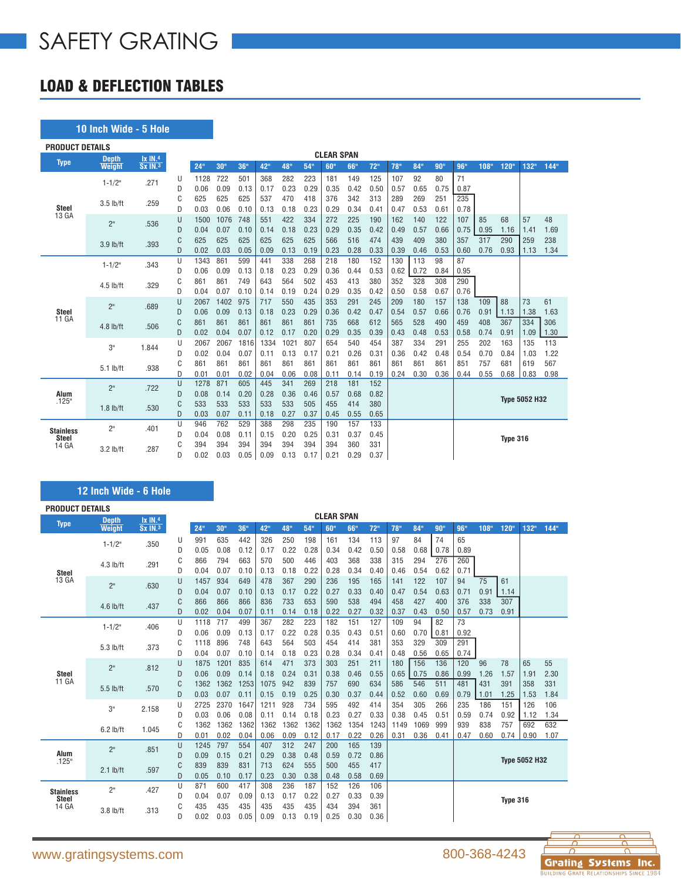## LOAD & DEFLECTION TABLES

| :10 Inch Wide - 5 Hole' |
|-------------------------|
|-------------------------|

| <b>PRODUCT DETAILS</b> |              |                       |        |              |                 |             |             |             |             |                   |             |             |                 |             |            |            |      |          |                      |             |
|------------------------|--------------|-----------------------|--------|--------------|-----------------|-------------|-------------|-------------|-------------|-------------------|-------------|-------------|-----------------|-------------|------------|------------|------|----------|----------------------|-------------|
|                        | <b>Depth</b> | $1x$ IN. <sup>4</sup> |        |              |                 |             |             |             |             | <b>CLEAR SPAN</b> |             |             |                 |             |            |            |      |          |                      |             |
| <b>Type</b>            | Weight       | $Sx$ IN. $3$          |        | 24"          | 30 <sup>o</sup> | 36"         | 42"         | 48"         | 54"         | 60"               | 66"         | 72"         | 78 <sup>°</sup> | 84"         | 90"        | 96"        | 108" | 120"     | 132"                 | 144"        |
|                        | $1 - 1/2"$   | .271                  | U      | 1128         | 722             | 501         | 368         | 282         | 223         | 181               | 149         | 125         | 107             | 92          | 80         | 71         |      |          |                      |             |
|                        |              |                       | D      | 0.06         | 0.09            | 0.13        | 0.17        | 0.23        | 0.29        | 0.35              | 0.42        | 0.50        | 0.57            | 0.65        | 0.75       | 0.87       |      |          |                      |             |
|                        | $3.5$ lb/ft  | .259                  | C      | 625          | 625             | 625         | 537         | 470         | 418         | 376               | 342         | 313         | 289             | 269         | 251        | 235        |      |          |                      |             |
| <b>Steel</b><br>13 GA  |              |                       | D      | 0.03         | 0.06            | 0.10        | 0.13        | 0.18        | 0.23        | 0.29              | 0.34        | 0.41        | 0.47            | 0.53        | 0.61       | 0.78       |      |          |                      |             |
|                        | 2"           | .536                  | U      | 1500         | 1076            | 748         | 551         | 422         | 334         | 272               | 225         | 190         | 162             | 140         | 122        | 107        | 85   | 68       | 57                   | 48          |
|                        |              |                       | D      | 0.04         | 0.07            | 0.10        | 0.14        | 0.18        | 0.23        | 0.29              | 0.35        | 0.42        | 0.49            | 0.57        | 0.66       | 0.75       | 0.95 | 1.16     | 1.41                 | 1.69        |
|                        | 3.9 lb/ft    | .393                  | C      | 625          | 625             | 625         | 625         | 625         | 625         | 566               | 516         | 474         | 439             | 409         | 380        | 357        | 317  | 290      | 259                  | 238<br>1.34 |
|                        |              |                       | D<br>U | 0.02<br>1343 | 0.03<br>861     | 0.05<br>599 | 0.09<br>441 | 0.13<br>338 | 0.19<br>268 | 0.23<br>218       | 0.28<br>180 | 0.33<br>152 | 0.39<br>130     | 0.46<br>113 | 0.53<br>98 | 0.60<br>87 | 0.76 | 0.93     | 1.13                 |             |
|                        | $1 - 1/2"$   | .343                  | D      | 0.06         | 0.09            | 0.13        | 0.18        | 0.23        | 0.29        | 0.36              | 0.44        | 0.53        | 0.62            | 0.72        | 0.84       | 0.95       |      |          |                      |             |
|                        |              |                       | C      | 861          | 861             | 749         | 643         | 564         | 502         | 453               | 413         | 380         | 352             | 328         | 308        | 290        |      |          |                      |             |
|                        | $4.5$ lb/ft  | .329                  | D      | 0.04         | 0.07            | 0.10        | 0.14        | 0.19        | 0.24        | 0.29              | 0.35        | 0.42        | 0.50            | 0.58        | 0.67       | 0.76       |      |          |                      |             |
|                        |              |                       | U      | 2067         | 1402            | 975         | 717         | 550         | 435         | 353               | 291         | 245         | 209             | 180         | 157        | 138        | 109  | 88       | 73                   | 61          |
| <b>Steel</b>           | 2"           | .689                  | D      | 0.06         | 0.09            | 0.13        | 0.18        | 0.23        | 0.29        | 0.36              | 0.42        | 0.47        | 0.54            | 0.57        | 0.66       | 0.76       | 0.91 | 1.13     | 1.38                 | 1.63        |
| 11 GA                  | $4.8$ lb/ft  | .506                  | C      | 861          | 861             | 861         | 861         | 861         | 861         | 735               | 668         | 612         | 565             | 528         | 490        | 459        | 408  | 367      | 334                  | 306         |
|                        |              |                       | D      | 0.02         | 0.04            | 0.07        | 0.12        | 0.17        | 0.20        | 0.29              | 0.35        | 0.39        | 0.43            | 0.48        | 0.53       | 0.58       | 0.74 | 0.91     | 1.09                 | 1.30        |
|                        | 3"           | 1.844                 | U      | 2067         | 2067            | 1816        | 1334        | 1021        | 807         | 654               | 540         | 454         | 387             | 334         | 291        | 255        | 202  | 163      | 135                  | 113         |
|                        |              |                       | D      | 0.02         | 0.04            | 0.07        | 0.11        | 0.13        | 0.17        | 0.21              | 0.26        | 0.31        | 0.36            | 0.42        | 0.48       | 0.54       | 0.70 | 0.84     | 1.03                 | 1.22        |
|                        | $5.1$ lb/ft  | .938                  | C      | 861          | 861             | 861         | 861         | 861         | 861         | 861               | 861         | 861         | 861             | 861         | 861        | 851        | 757  | 681      | 619                  | 567         |
|                        |              |                       | D      | 0.01         | 0.01            | 0.02        | 0.04        | 0.06        | 0.08        | 0.11              | 0.14        | 0.19        | 0.24            | 0.30        | 0.36       | 0.44       | 0.55 | 0.68     | 0.83                 | 0.98        |
|                        | 2"           | .722                  | U      | 1278         | 871             | 605         | 445         | 341         | 269         | 218               | 181         | 152         |                 |             |            |            |      |          |                      |             |
| Alum<br>.125"          |              |                       | D<br>C | 0.08<br>533  | 0.14<br>533     | 0.20<br>533 | 0.28<br>533 | 0.36<br>533 | 0.46<br>505 | 0.57<br>455       | 0.68<br>414 | 0.82<br>380 |                 |             |            |            |      |          | <b>Type 5052 H32</b> |             |
|                        | $1.8$ lb/ft  | .530                  | D      | 0.03         | 0.07            | 0.11        | 0.18        | 0.27        | 0.37        | 0.45              | 0.55        | 0.65        |                 |             |            |            |      |          |                      |             |
|                        |              |                       | U      | 946          | 762             | 529         | 388         | 298         | 235         | 190               | 157         | 133         |                 |             |            |            |      |          |                      |             |
| <b>Stainless</b>       | 2"           | .401                  | D      | 0.04         | 0.08            | 0.11        | 0.15        | 0.20        | 0.25        | 0.31              | 0.37        | 0.45        |                 |             |            |            |      |          |                      |             |
| <b>Steel</b><br>14 GA  |              |                       | C      | 394          | 394             | 394         | 394         | 394         | 394         | 394               | 360         | 331         |                 |             |            |            |      | Type 316 |                      |             |
|                        | $3.2$ lb/ft  | .287                  | D      | 0.02         | 0.03            | 0.05        | 0.09        | 0.13        | 0.17        | 0.21              | 0.29        | 0.37        |                 |             |            |            |      |          |                      |             |

### **PRODUCT DETAILS 12 Inch Wide - 6 Hole**

|                  | <b>Depth</b> | <b>Ix IN.4</b> |        |              |                 |             |             |             |             | <b>CLEAR SPAN</b> |             |             |                 |             |             |             |      |                 |                      |      |
|------------------|--------------|----------------|--------|--------------|-----------------|-------------|-------------|-------------|-------------|-------------------|-------------|-------------|-----------------|-------------|-------------|-------------|------|-----------------|----------------------|------|
| <b>Type</b>      | Weight       | Sx IN.3        |        | 24"          | 30 <sup>o</sup> | 36"         | 42"         | 48"         | 54"         | 60"               | 66"         | 72"         | 78 <sup>°</sup> | 84"         | 90"         | 96"         | 108" | 120"            | 132"                 | 144" |
|                  | $1 - 1/2"$   | .350           | U      | 991          | 635             | 442         | 326         | 250         | 198         | 161               | 134         | 113         | 97              | 84          | 74          | 65          |      |                 |                      |      |
|                  |              |                | D      | 0.05         | 0.08            | 0.12        | 0.17        | 0.22        | 0.28        | 0.34              | 0.42        | 0.50        | 0.58            | 0.68        | 0.78        | 0.89        |      |                 |                      |      |
|                  | $4.3$ lb/ft  | .291           | С      | 866          | 794             | 663         | 570         | 500         | 446         | 403               | 368         | 338         | 315             | 294         | 276         | 260         |      |                 |                      |      |
| <b>Steel</b>     |              |                | D      | 0.04         | 0.07            | 0.10        | 0.13        | 0.18        | 0.22        | 0.28              | 0.34        | 0.40        | 0.46            | 0.54        | 0.62        | 0.71        |      |                 |                      |      |
| 13 GA            | 2"           | .630           | U      | 1457         | 934             | 649         | 478         | 367         | 290         | 236               | 195         | 165         | 141             | 122         | 107         | 94          | 75   | 61              |                      |      |
|                  |              |                | D      | 0.04         | 0.07            | 0.10        | 0.13        | 0.17        | 0.22        | 0.27              | 0.33        | 0.40        | 0.47            | 0.54        | 0.63        | 0.71        | 0.91 | 1.14            |                      |      |
|                  | $4.6$ lb/ft  | .437           | C      | 866          | 866             | 866         | 836         | 733         | 653         | 590               | 538         | 494         | 458             | 427         | 400         | 376         | 338  | 307             |                      |      |
|                  |              |                | D      | 0.02         | 0.04            | 0.07        | 0.11        | 0.14        | 0.18        | 0.22              | 0.27        | 0.32        | 0.37            | 0.43        | 0.50        | 0.57        | 0.73 | 0.91            |                      |      |
|                  | $1 - 1/2"$   | .406           | U      | 1118         | 717             | 499         | 367         | 282         | 223         | 182               | 151         | 127         | 109             | 94          | 82          | 73          |      |                 |                      |      |
|                  |              |                | D      | 0.06         | 0.09            | 0.13        | 0.17        | 0.22        | 0.28        | 0.35              | 0.43        | 0.51        | 0.60            | 0.70        | 0.81        | 0.92        |      |                 |                      |      |
|                  | $5.3$ lb/ft  | .373           | C<br>D | 1118<br>0.04 | 896<br>0.07     | 748<br>0.10 | 643<br>0.14 | 564<br>0.18 | 503         | 454               | 414<br>0.34 | 381<br>0.41 | 353<br>0.48     | 329<br>0.56 | 309<br>0.65 | 291         |      |                 |                      |      |
|                  |              |                | U      | 1875         | 1201            | 835         | 614         | 471         | 0.23<br>373 | 0.28<br>303       | 251         | 211         | 180             | 156         | 136         | 0.74<br>120 | 96   | 78              | 65                   | 55   |
| <b>Steel</b>     | 2"           | .812           | D      | 0.06         | 0.09            | 0.14        | 0.18        | 0.24        | 0.31        | 0.38              | 0.46        | 0.55        | 0.65            | 0.75        | 0.86        | 0.99        | 1.26 | 1.57            | 1.91                 | 2.30 |
| 11 GA            |              |                | C      | 1362         | 1362            | 1253        | 1075        | 942         | 839         | 757               | 690         | 634         | 586             | 546         | 511         | 481         | 431  | 391             | 358                  | 331  |
|                  | $5.5$ lb/ft  | .570           | D      | 0.03         | 0.07            | 0.11        | 0.15        | 0.19        | 0.25        | 0.30              | 0.37        | 0.44        | 0.52            | 0.60        | 0.69        | 0.79        | 1.01 | 1.25            | 1.53                 | 1.84 |
|                  |              |                | U      | 2725         | 2370            | 1647        | 1211        | 928         | 734         | 595               | 492         | 414         | 354             | 305         | 266         | 235         | 186  | 151             | 126                  | 106  |
|                  | 3"           | 2.158          | D      | 0.03         | 0.06            | 0.08        | 0.11        | 0.14        | 0.18        | 0.23              | 0.27        | 0.33        | 0.38            | 0.45        | 0.51        | 0.59        | 0.74 | 0.92            | 1.12                 | 1.34 |
|                  |              |                | C      | 1362         | 1362            | 1362        | 1362        | 1362        | 1362        | 1362              | 1354        | 1243        | 1149            | 1069        | 999         | 939         | 838  | 757             | 692                  | 632  |
|                  | $6.2$ lb/ft  | 1.045          | D      | 0.01         | 0.02            | 0.04        | 0.06        | 0.09        | 0.12        | 0.17              | 0.22        | 0.26        | 0.31            | 0.36        | 0.41        | 0.47        | 0.60 | 0.74            | 0.90                 | 1.07 |
|                  | 2"           | .851           | U      | 1245         | 797             | 554         | 407         | 312         | 247         | 200               | 165         | 139         |                 |             |             |             |      |                 |                      |      |
| Alum             |              |                | D      | 0.09         | 0.15            | 0.21        | 0.29        | 0.38        | 0.48        | 0.59              | 0.72        | 0.86        |                 |             |             |             |      |                 | <b>Type 5052 H32</b> |      |
| .125"            | $2.1$ lb/ft  | .597           | С      | 839          | 839             | 831         | 713         | 624         | 555         | 500               | 455         | 417         |                 |             |             |             |      |                 |                      |      |
|                  |              |                | D      | 0.05         | 0.10            | 0.17        | 0.23        | 0.30        | 0.38        | 0.48              | 0.58        | 0.69        |                 |             |             |             |      |                 |                      |      |
| <b>Stainless</b> | 2"           | .427           | U      | 871          | 600             | 417         | 308         | 236         | 187         | 152               | 126         | 106         |                 |             |             |             |      |                 |                      |      |
| <b>Steel</b>     |              |                | D      | 0.04         | 0.07            | 0.09        | 0.13        | 0.17        | 0.22        | 0.27              | 0.33        | 0.39        |                 |             |             |             |      | <b>Type 316</b> |                      |      |
| 14 GA            | 3.8 lb/ft    | .313           | C      | 435          | 435             | 435         | 435         | 435         | 435         | 434               | 394         | 361         |                 |             |             |             |      |                 |                      |      |
|                  |              |                | D      | 0.02         | 0.03            | 0.05        | 0.09        | 0.13        | 0.19        | 0.25              | 0.30        | 0.36        |                 |             |             |             |      |                 |                      |      |

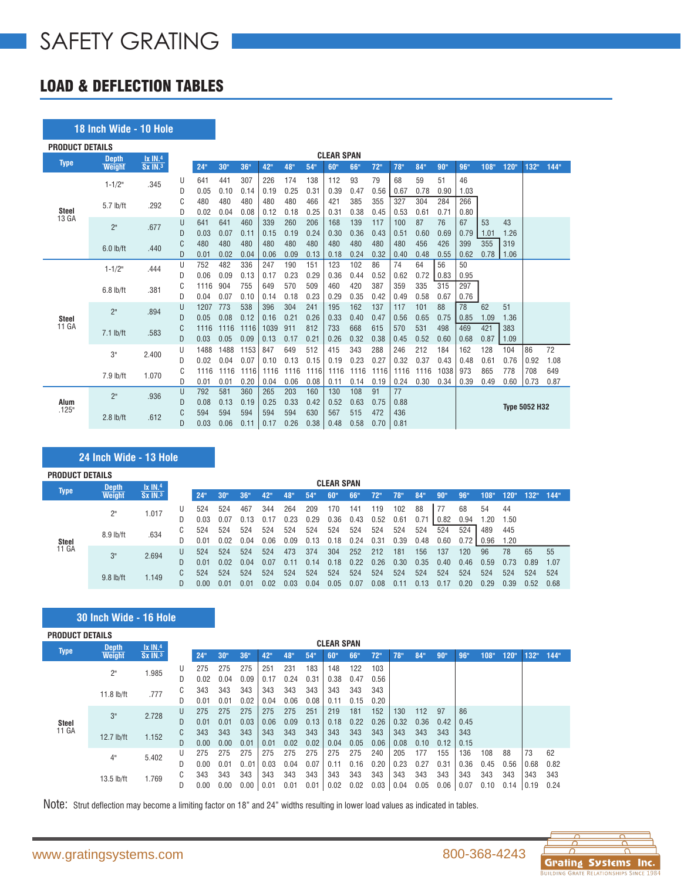## LOAD & DEFLECTION TABLES

|                        | 18 Inch Wide - 10 Hole |              |        |             |             |             |             |             |             |                   |             |            |            |            |            |            |      |      |                      |      |
|------------------------|------------------------|--------------|--------|-------------|-------------|-------------|-------------|-------------|-------------|-------------------|-------------|------------|------------|------------|------------|------------|------|------|----------------------|------|
| <b>PRODUCT DETAILS</b> |                        |              |        |             |             |             |             |             |             |                   |             |            |            |            |            |            |      |      |                      |      |
| <b>Type</b>            | <b>Depth</b>           | $lx$ IN. $4$ |        |             |             |             |             |             |             | <b>CLEAR SPAN</b> |             |            |            |            |            |            |      |      |                      |      |
|                        | <b>Weight</b>          | Sx IN.3      |        | 24"         | 30"         | 36"         | 42"         | 48"         | 54"         | 60"               | 66"         | 72"        | 78"        | 84"        | 90"        | 96"        | 108" | 120" | 132"                 | 144" |
|                        | $1 - 1/2"$             | .345         | U      | 641         | 441         | 307         | 226         | 174         | 138         | 112               | 93          | 79         | 68         | 59         | 51         | 46         |      |      |                      |      |
|                        |                        |              | D      | 0.05        | 0.10        | 0.14        | 0.19        | 0.25        | 0.31        | 0.39              | 0.47        | 0.56       | 0.67       | 0.78       | 0.90       | 1.03       |      |      |                      |      |
|                        | 5.7 lb/ft              | .292         | C      | 480         | 480         | 480         | 480         | 480         | 466         | 421               | 385         | 355        | 327        | 304        | 284        | 266        |      |      |                      |      |
| <b>Steel</b><br>13 GA  |                        |              | D      | 0.02        | 0.04        | 0.08        | 0.12        | 0.18        | 0.25        | 0.31              | 0.38        | 0.45       | 0.53       | 0.61       | 0.71       | 0.80       |      |      |                      |      |
|                        | 2 <sup>n</sup>         | .677         | U      | 641         | 641         | 460         | 339         | 260         | 206         | 168               | 139         | 117        | 100        | 87         | 76         | 67         | 53   | 43   |                      |      |
|                        |                        |              | D      | 0.03        | 0.07        | 0.11        | 0.15        | 0.19        | 0.24        | 0.30              | 0.36        | 0.43       | 0.51       | 0.60       | 0.69       | 0.79       | 1.01 | 1.26 |                      |      |
|                        | $6.0$ lb/ft            | .440         | C      | 480         | 480         | 480         | 480         | 480         | 480         | 480               | 480         | 480        | 480        | 456        | 426        | 399        | 355  | 319  |                      |      |
|                        |                        |              | D<br>U | 0.01<br>752 | 0.02<br>482 | 0.04<br>336 | 0.06<br>247 | 0.09<br>190 | 0.13<br>151 | 0.18<br>123       | 0.24<br>102 | 0.32<br>86 | 0.40<br>74 | 0.48<br>64 | 0.55<br>56 | 0.62<br>50 | 0.78 | 1.06 |                      |      |
|                        | $1 - 1/2$ "            | .444         | D      | 0.06        | 0.09        | 0.13        | 0.17        | 0.23        | 0.29        | 0.36              | 0.44        | 0.52       | 0.62       | 0.72       | 0.83       | 0.95       |      |      |                      |      |
|                        |                        |              | C      | 1116        | 904         | 755         | 649         | 570         | 509         | 460               | 420         | 387        | 359        | 335        | 315        | 297        |      |      |                      |      |
|                        | $6.8$ lb/ft            | .381         | D      | 0.04        | 0.07        | 0.10        | 0.14        | 0.18        | 0.23        | 0.29              | 0.35        | 0.42       | 0.49       | 0.58       | 0.67       | 0.76       |      |      |                      |      |
|                        |                        |              | U      | 1207        | 773         | 538         | 396         | 304         | 241         | 195               | 162         | 137        | 117        | 101        | 88         | 78         | 62   | 51   |                      |      |
| <b>Steel</b>           | 2"                     | .894         | D      | 0.05        | 0.08        | 0.12        | 0.16        | 0.21        | 0.26        | 0.33              | 0.40        | 0.47       | 0.56       | 0.65       | 0.75       | 0.85       | 1.09 | 1.36 |                      |      |
| 11 GA                  |                        |              | C      | 1116        | 1116        | 1116        | 1039        | 911         | 812         | 733               | 668         | 615        | 570        | 531        | 498        | 469        | 421  | 383  |                      |      |
|                        | $7.1$ lb/ft            | .583         | D      | 0.03        | 0.05        | 0.09        | 0.13        | 0.17        | 0.21        | 0.26              | 0.32        | 0.38       | 0.45       | 0.52       | 0.60       | 0.68       | 0.87 | 1.09 |                      |      |
|                        |                        |              | U      | 1488        | 1488        | 1153        | 847         | 649         | 512         | 415               | 343         | 288        | 246        | 212        | 184        | 162        | 128  | 104  | 86                   | 72   |
|                        | З"                     | 2.400        | D      | 0.02        | 0.04        | 0.07        | 0.10        | 0.13        | 0.15        | 0.19              | 0.23        | 0.27       | 0.32       | 0.37       | 0.43       | 0.48       | 0.61 | 0.76 | 0.92                 | 1.08 |
|                        | 7.9 lb/ft              | 1.070        | C      | 1116        | 1116        | 1116        | 1116        | 1116        | 1116        | 1116              | 1116        | 1116       | 1116       | 1116       | 1038       | 973        | 865  | 778  | 708                  | 649  |
|                        |                        |              | D      | 0.01        | 0.01        | 0.20        | 0.04        | 0.06        | 0.08        | 0.11              | 0.14        | 0.19       | 0.24       | 0.30       | 0.34       | 0.39       | 0.49 | 0.60 | 0.73                 | 0.87 |
|                        | 2 <sup>n</sup>         | .936         | U      | 792         | 581         | 360         | 265         | 203         | 160         | 130               | 108         | 91         | 77         |            |            |            |      |      |                      |      |
| Alum                   |                        |              | D      | 0.08        | 0.13        | 0.19        | 0.25        | 0.33        | 0.42        | 0.52              | 0.63        | 0.75       | 0.88       |            |            |            |      |      | <b>Type 5052 H32</b> |      |
| .125"                  | $2.8$ lb/ft            | .612         |        | 594         | 594         | 594         | 594         | 594         | 630         | 567               | 515         | 472        | 436        |            |            |            |      |      |                      |      |
|                        |                        |              | D      | 0.03        | 0.06        | 0.11        | 0.17        | 0.26        | 0.38        | 0.48              | 0.58        | 0.70       | 0.81       |            |            |            |      |      |                      |      |

## **24 Inch Wide - 13 Hole**

| <b>PRODUCT DETAILS</b> |               |                       |   |      |                 |      |      |      |      |                   |      |      |               |      |              |      |      |      |      |      |
|------------------------|---------------|-----------------------|---|------|-----------------|------|------|------|------|-------------------|------|------|---------------|------|--------------|------|------|------|------|------|
| <b>Type</b>            | <b>Depth</b>  | $IX$ IN. <sup>4</sup> |   |      |                 |      |      |      |      | <b>CLEAR SPAN</b> |      |      |               |      |              |      |      |      |      |      |
|                        | <b>Weight</b> | Sx IN. <sup>3</sup>   |   | 24"  | 30 <sup>o</sup> | 36"  | 42"  | 48"  | 54"  | 60"               | 66"  | 72"  | 78"           | 84"  | $90^{\circ}$ | 96"  | 108" | 120" | 132" | 144" |
|                        | 2"            | 1.017                 | U | 524  | 524             | 467  | 344  | 264  | 209  | 170               | 141  | 119  | 102           | 88   | -77          | 68   | 54   | 44   |      |      |
|                        |               |                       | D | 0.03 | 0.07            |      |      | ) 23 | 0.29 | 0.36              | 0.43 | 0.52 | 0.61          | 0.71 | 0.82         | 0.94 | .20  | 1.50 |      |      |
|                        | 8.9 lb/ft     | .634                  | C | 524  | 524             | 524  | 524  | 524  | 524  | 524               | 524  | 524  | 524           | 524  | 524          | 524  | 489  | 445  |      |      |
| Steel                  |               |                       |   | 0.01 | 0.02            | 0.04 | 0.06 | 0.09 | 0.13 | 0.18              | 0.24 | 0.31 | 0.39          | 0.48 | 0.60         | 0.72 | 0.96 | 1.20 |      |      |
| 11 GA                  | 3"            | 2.694                 | U | 524  | 524             | 524  | 524  | 473  | 374  | 304               | 252  | 212  | 181           | 156  | 137          | 120  | 96   | 78   | 65   | 55   |
|                        |               |                       | D | 0.01 | 0.02            | 0.04 | 0.07 | 011  | በ 14 | 0.18              | 0.22 | 0.26 | 0.30          | 0.35 | 0.40         | 0.46 | 0.59 | 0.73 | 0.89 | 1.07 |
|                        | $9.8$ lb/ft   | 1.149                 | C | 524  | 524             | 524  | 524  | 524  | 524  | 524               | 524  | 524  | 524           | 524  | 524          | 524  | 524  | 524  | 524  | 524  |
|                        |               |                       |   |      | 0.01            | 0.01 | 0.02 |      | 0.04 | 0.05              | 0.07 | 0.08 | $0.1^{\circ}$ | 0.13 |              | 0.20 | 0.29 | 0.39 | 0.52 | 0.68 |

#### **30 Inch Wide - 16 Hole**

| <b>PRODUCT DETAILS</b> |               |                       |   |      |      |      |      |      |      |                   |      |      |      |      |      |      |      |      |      |      |
|------------------------|---------------|-----------------------|---|------|------|------|------|------|------|-------------------|------|------|------|------|------|------|------|------|------|------|
|                        | <b>Depth</b>  | $1x$ IN. <sup>4</sup> |   |      |      |      |      |      |      | <b>CLEAR SPAN</b> |      |      |      |      |      |      |      |      |      |      |
| <b>Type</b>            | <b>Weight</b> | Sx IN. <sup>3</sup>   |   | 24"  | 30"  | 36"  | 42"  | 48"  | 54"  | 60"               | 66"  | 72"  | 78"  | 84"  | 90"  | 96"  | 108" | 120" | 132" | 144" |
|                        | 2"            | 1.985                 | U | 275  | 275  | 275  | 251  | 231  | 183  | 148               | 122  | 103  |      |      |      |      |      |      |      |      |
|                        |               |                       | D | 0.02 | 0.04 | 0.09 | 0.17 | 0.24 | 0.31 | 0.38              | 0.47 | 0.56 |      |      |      |      |      |      |      |      |
|                        | 11.8 lb/ft    | .777                  | C | 343  | 343  | 343  | 343  | 343  | 343  | 343               | 343  | 343  |      |      |      |      |      |      |      |      |
|                        |               |                       |   | 0.01 | 0.01 | 0.02 | 0.04 | 0.06 | 0.08 | 0.11              | 0.15 | 0.20 |      |      |      |      |      |      |      |      |
|                        | 3"            | 2.728                 | U | 275  | 275  | 275  | 275  | 275  | 251  | 219               | 181  | 152  | 130  | 112  | 97   | 86   |      |      |      |      |
| Steel                  |               |                       | D | 0.01 | 0.01 | 0.03 | 0.06 | 0.09 | 0.13 | 0.18              | 0.22 | 0.26 | 0.32 | 0.36 | 0.42 | 0.45 |      |      |      |      |
| 11 GA                  | 12.7 lb/ft    | 1.152                 | C | 343  | 343  | 343  | 343  | 343  | 343  | 343               | 343  | 343  | 343  | 343  | 343  | 343  |      |      |      |      |
|                        |               |                       | D | 0.00 | 0.00 | 0.01 | 0.01 | 0.02 | 0.02 | 0.04              | 0.05 | 0.06 | 0.08 | 0.10 | 0.12 | 0.15 |      |      |      |      |
|                        | 4"            | 5.402                 | U | 275  | 275  | 275  | 275  | 275  | 275  | 275               | 275  | 240  | 205  | 177  | 155  | 136  | 108  | 88   | 73   | 62   |
|                        |               |                       | D | 0.00 | 0.01 | 0.01 | 0.03 | 0.04 | 0.07 | 0.11              | 0.16 | 0.20 | 0.23 | 0.27 | 0.31 | 0.36 | 0.45 | 0.56 | 0.68 | 0.82 |
|                        | 13.5 lb/ft    | 1.769                 | C | 343  | 343  | 343  | 343  | 343  | 343  | 343               | 343  | 343  | 343  | 343  | 343  | 343  | 343  | 343  | 343  | 343  |
|                        |               |                       | D | 0.00 | 0.00 | 0.00 | 0.01 | 0.01 | 0.01 | 0.02              | 0.02 | 0.03 | 0.04 | 0.05 | 0.06 | 0.07 | 0.10 | 0.14 | 0.19 | 0.24 |

Note: Strut deflection may become a limiting factor on 18" and 24" widths resulting in lower load values as indicated in tables.

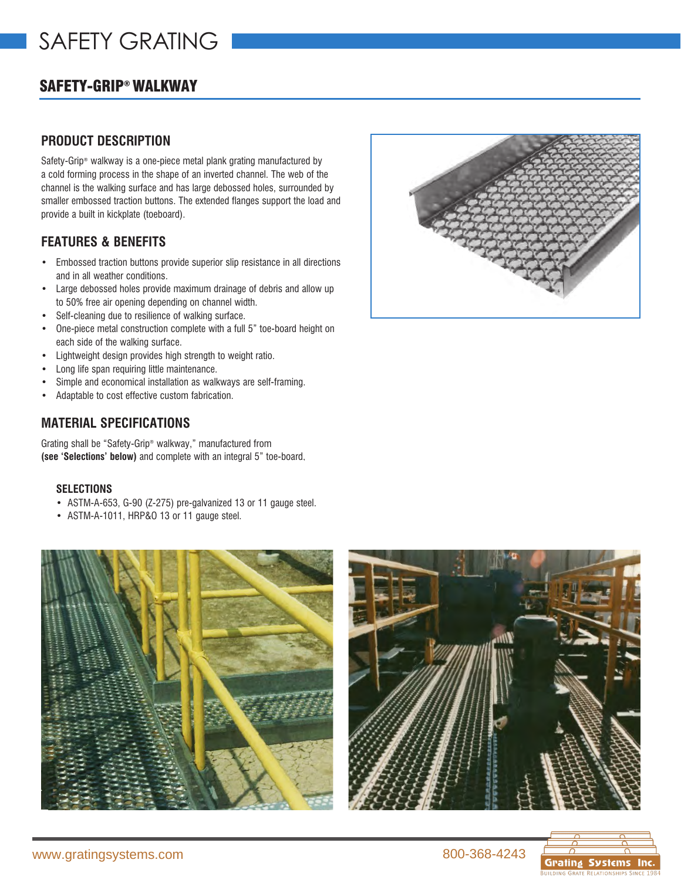## SAFETY-GRIP® WALKWAY

### **PRODUCT DESCRIPTION**

Safety-Grip® walkway is a one-piece metal plank grating manufactured by a cold forming process in the shape of an inverted channel. The web of the channel is the walking surface and has large debossed holes, surrounded by smaller embossed traction buttons. The extended flanges support the load and provide a built in kickplate (toeboard).

### **FEATURES & BENEFITS**

- Embossed traction buttons provide superior slip resistance in all directions and in all weather conditions.
- Large debossed holes provide maximum drainage of debris and allow up to 50% free air opening depending on channel width.
- Self-cleaning due to resilience of walking surface.
- One-piece metal construction complete with a full 5" toe-board height on each side of the walking surface.
- Lightweight design provides high strength to weight ratio.
- Long life span requiring little maintenance.
- Simple and economical installation as walkways are self-framing.
- Adaptable to cost effective custom fabrication.

## **MATERIAL SPECIFICATIONS**

Grating shall be "Safety-Grip® walkway," manufactured from **(see 'Selections' below)** and complete with an integral 5" toe-board,

#### **SELECTIONS**

- ASTM-A-653, G-90 (Z-275) pre-galvanized 13 or 11 gauge steel.
- ASTM-A-1011, HRP&O 13 or 11 gauge steel.